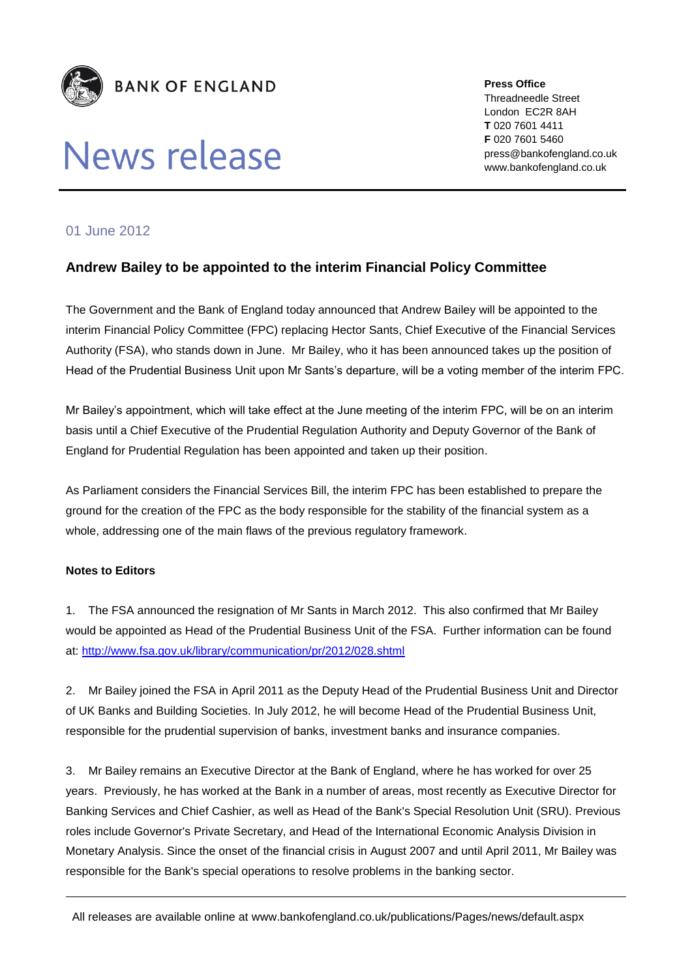

## News release

**Press Office** Threadneedle Street London EC2R 8AH **T** 020 7601 4411 **F** 020 7601 5460 press@bankofengland.co.uk www.bankofengland.co.uk

## 01 June 2012

## **Andrew Bailey to be appointed to the interim Financial Policy Committee**

The Government and the Bank of England today announced that Andrew Bailey will be appointed to the interim Financial Policy Committee (FPC) replacing Hector Sants, Chief Executive of the Financial Services Authority (FSA), who stands down in June. Mr Bailey, who it has been announced takes up the position of Head of the Prudential Business Unit upon Mr Sants's departure, will be a voting member of the interim FPC.

Mr Bailey's appointment, which will take effect at the June meeting of the interim FPC, will be on an interim basis until a Chief Executive of the Prudential Regulation Authority and Deputy Governor of the Bank of England for Prudential Regulation has been appointed and taken up their position.

As Parliament considers the Financial Services Bill, the interim FPC has been established to prepare the ground for the creation of the FPC as the body responsible for the stability of the financial system as a whole, addressing one of the main flaws of the previous regulatory framework.

## **Notes to Editors**

1. The FSA announced the resignation of Mr Sants in March 2012. This also confirmed that Mr Bailey would be appointed as Head of the Prudential Business Unit of the FSA. Further information can be found at:<http://www.fsa.gov.uk/library/communication/pr/2012/028.shtml>

2. Mr Bailey joined the FSA in April 2011 as the Deputy Head of the Prudential Business Unit and Director of UK Banks and Building Societies. In July 2012, he will become Head of the Prudential Business Unit, responsible for the prudential supervision of banks, investment banks and insurance companies.

3. Mr Bailey remains an Executive Director at the Bank of England, where he has worked for over 25 years. Previously, he has worked at the Bank in a number of areas, most recently as Executive Director for Banking Services and Chief Cashier, as well as Head of the Bank's Special Resolution Unit (SRU). Previous roles include Governor's Private Secretary, and Head of the International Economic Analysis Division in Monetary Analysis. Since the onset of the financial crisis in August 2007 and until April 2011, Mr Bailey was responsible for the Bank's special operations to resolve problems in the banking sector.